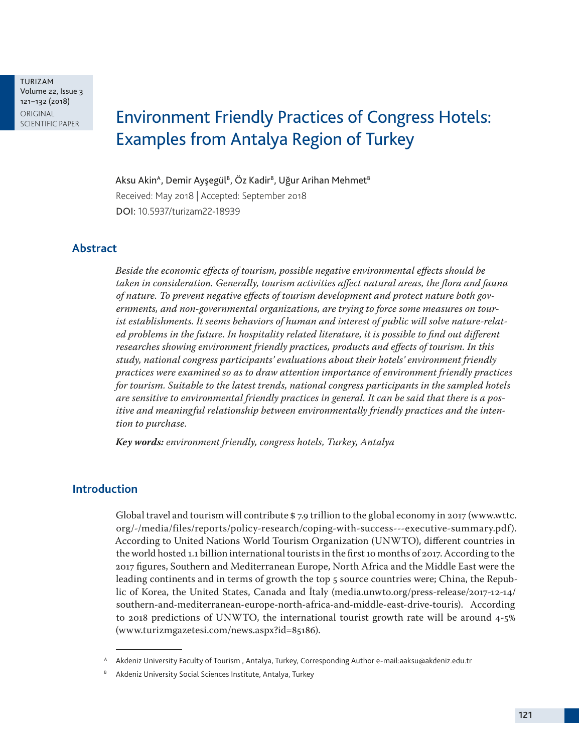TURIZAM Volume 22, Issue 3 121–132 (2018) ORIGINAL<br>SCIENTIFIC PAPER

# **Environment Friendly Practices of Congress Hotels:** Examples from Antalya Region of Turkey

Aksu Akin<sup>A</sup>, Demir Ayşegül<sup>B</sup>, Öz Kadir<sup>B</sup>, Uğur Arihan Mehmet<sup>B</sup>

Received: May 2018 | Accepted: September 2018 DOI: 10.5937/turizam22-18939

## **Abstract**

*Beside the economic effects of tourism, possible negative environmental effects should be taken in consideration. Generally, tourism activities affect natural areas, the flora and fauna of nature. To prevent negative effects of tourism development and protect nature both governments, and non-governmental organizations, are trying to force some measures on tourist establishments. It seems behaviors of human and interest of public will solve nature-related problems in the future. In hospitality related literature, it is possible to find out different researches showing environment friendly practices, products and effects of tourism. In this study, national congress participants' evaluations about their hotels' environment friendly practices were examined so as to draw attention importance of environment friendly practices for tourism. Suitable to the latest trends, national congress participants in the sampled hotels are sensitive to environmental friendly practices in general. It can be said that there is a positive and meaningful relationship between environmentally friendly practices and the intention to purchase.*

*Key words: environment friendly, congress hotels, Turkey, Antalya*

#### **Introduction**

Global travel and tourism will contribute \$ 7.9 trillion to the global economy in 2017 (www.wttc. org/-/media/files/reports/policy-research/coping-with-success---executive-summary.pdf). According to United Nations World Tourism Organization (UNWTO), different countries in the world hosted 1.1 billion international tourists in the first 10 months of 2017. According to the 2017 figures, Southern and Mediterranean Europe, North Africa and the Middle East were the leading continents and in terms of growth the top 5 source countries were; China, the Republic of Korea, the United States, Canada and İtaly (media.unwto.org/press-release/2017-12-14/ southern-and-mediterranean-europe-north-africa-and-middle-east-drive-touris). According to 2018 predictions of UNWTO, the international tourist growth rate will be around 4-5% (www.turizmgazetesi.com/news.aspx?id=85186).

<sup>A</sup> Akdeniz University Faculty of Tourism , Antalya, Turkey, Corresponding Author e-mail:aaksu@akdeniz.edu.tr

B Akdeniz University Social Sciences Institute, Antalya, Turkey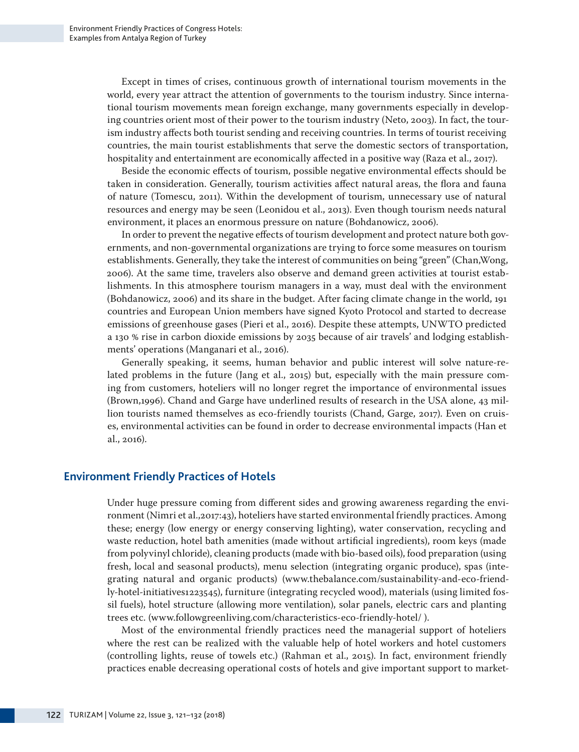Except in times of crises, continuous growth of international tourism movements in the world, every year attract the attention of governments to the tourism industry. Since international tourism movements mean foreign exchange, many governments especially in developing countries orient most of their power to the tourism industry (Neto, 2003). In fact, the tourism industry affects both tourist sending and receiving countries. In terms of tourist receiving countries, the main tourist establishments that serve the domestic sectors of transportation, hospitality and entertainment are economically affected in a positive way (Raza et al., 2017).

Beside the economic effects of tourism, possible negative environmental effects should be taken in consideration. Generally, tourism activities affect natural areas, the flora and fauna of nature (Tomescu, 2011). Within the development of tourism, unnecessary use of natural resources and energy may be seen (Leonidou et al., 2013). Even though tourism needs natural environment, it places an enormous pressure on nature (Bohdanowicz, 2006).

In order to prevent the negative effects of tourism development and protect nature both governments, and non-governmental organizations are trying to force some measures on tourism establishments. Generally, they take the interest of communities on being "green" (Chan,Wong, 2006). At the same time, travelers also observe and demand green activities at tourist establishments. In this atmosphere tourism managers in a way, must deal with the environment (Bohdanowicz, 2006) and its share in the budget. After facing climate change in the world, 191 countries and European Union members have signed Kyoto Protocol and started to decrease emissions of greenhouse gases (Pieri et al., 2016). Despite these attempts, UNWTO predicted a 130 % rise in carbon dioxide emissions by 2035 because of air travels' and lodging establishments' operations (Manganari et al., 2016).

Generally speaking, it seems, human behavior and public interest will solve nature-related problems in the future (Jang et al., 2015) but, especially with the main pressure coming from customers, hoteliers will no longer regret the importance of environmental issues (Brown,1996). Chand and Garge have underlined results of research in the USA alone, 43 million tourists named themselves as eco-friendly tourists (Chand, Garge, 2017). Even on cruises, environmental activities can be found in order to decrease environmental impacts (Han et al., 2016).

#### **Environment Friendly Practices of Hotels**

Under huge pressure coming from different sides and growing awareness regarding the environment (Nimri et al.,2017:43), hoteliers have started environmental friendly practices. Among these; energy (low energy or energy conserving lighting), water conservation, recycling and waste reduction, hotel bath amenities (made without artificial ingredients), room keys (made from polyvinyl chloride), cleaning products (made with bio-based oils), food preparation (using fresh, local and seasonal products), menu selection (integrating organic produce), spas (integrating natural and organic products) (www.thebalance.com/sustainability-and-eco-friendly-hotel-initiatives1223545), furniture (integrating recycled wood), materials (using limited fossil fuels), hotel structure (allowing more ventilation), solar panels, electric cars and planting trees etc. (www.followgreenliving.com/characteristics-eco-friendly-hotel/ ).

Most of the environmental friendly practices need the managerial support of hoteliers where the rest can be realized with the valuable help of hotel workers and hotel customers (controlling lights, reuse of towels etc.) (Rahman et al., 2015). In fact, environment friendly practices enable decreasing operational costs of hotels and give important support to market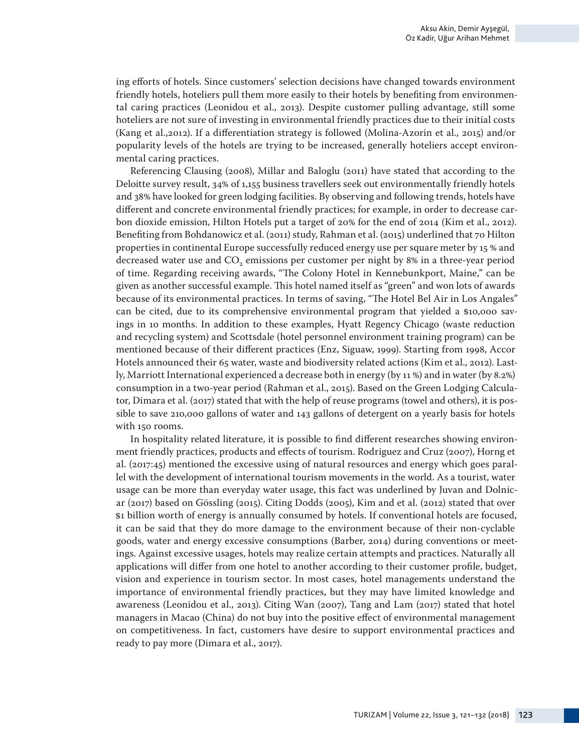ing efforts of hotels. Since customers' selection decisions have changed towards environment friendly hotels, hoteliers pull them more easily to their hotels by benefiting from environmental caring practices (Leonidou et al., 2013). Despite customer pulling advantage, still some hoteliers are not sure of investing in environmental friendly practices due to their initial costs (Kang et al.,2012). If a differentiation strategy is followed (Molina-Azorin et al., 2015) and/or popularity levels of the hotels are trying to be increased, generally hoteliers accept environmental caring practices.

Referencing Clausing (2008), Millar and Baloglu (2011) have stated that according to the Deloitte survey result, 34% of 1,155 business travellers seek out environmentally friendly hotels and 38% have looked for green lodging facilities. By observing and following trends, hotels have different and concrete environmental friendly practices; for example, in order to decrease carbon dioxide emission, Hilton Hotels put a target of 20% for the end of 2014 (Kim et al., 2012). Benefiting from Bohdanowicz et al. (2011) study, Rahman et al. (2015) underlined that 70 Hilton properties in continental Europe successfully reduced energy use per square meter by 15 % and decreased water use and  $CO<sub>2</sub>$  emissions per customer per night by 8% in a three-year period of time. Regarding receiving awards, "The Colony Hotel in Kennebunkport, Maine," can be given as another successful example. This hotel named itself as "green" and won lots of awards because of its environmental practices. In terms of saving, "The Hotel Bel Air in Los Angales" can be cited, due to its comprehensive environmental program that yielded a \$10,000 savings in 10 months. In addition to these examples, Hyatt Regency Chicago (waste reduction and recycling system) and Scottsdale (hotel personnel environment training program) can be mentioned because of their different practices (Enz, Siguaw, 1999). Starting from 1998, Accor Hotels announced their 65 water, waste and biodiversity related actions (Kim et al., 2012). Lastly, Marriott International experienced a decrease both in energy (by 11 %) and in water (by 8.2%) consumption in a two-year period (Rahman et al., 2015). Based on the Green Lodging Calculator, Dimara et al. (2017) stated that with the help of reuse programs (towel and others), it is possible to save 210,000 gallons of water and 143 gallons of detergent on a yearly basis for hotels with 150 rooms.

In hospitality related literature, it is possible to find different researches showing environment friendly practices, products and effects of tourism. Rodriguez and Cruz (2007), Horng et al. (2017:45) mentioned the excessive using of natural resources and energy which goes parallel with the development of international tourism movements in the world. As a tourist, water usage can be more than everyday water usage, this fact was underlined by Juvan and Dolnicar (2017) based on Gössling (2015). Citing Dodds (2005), Kim and et al. (2012) stated that over \$1 billion worth of energy is annually consumed by hotels. If conventional hotels are focused, it can be said that they do more damage to the environment because of their non-cyclable goods, water and energy excessive consumptions (Barber, 2014) during conventions or meetings. Against excessive usages, hotels may realize certain attempts and practices. Naturally all applications will differ from one hotel to another according to their customer profile, budget, vision and experience in tourism sector. In most cases, hotel managements understand the importance of environmental friendly practices, but they may have limited knowledge and awareness (Leonidou et al., 2013). Citing Wan (2007), Tang and Lam (2017) stated that hotel managers in Macao (China) do not buy into the positive effect of environmental management on competitiveness. In fact, customers have desire to support environmental practices and ready to pay more (Dimara et al., 2017).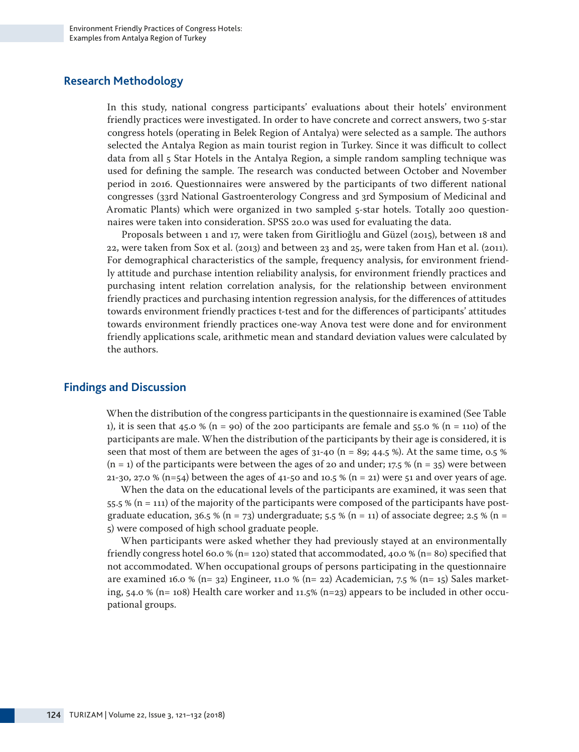### **Research Methodology**

In this study, national congress participants' evaluations about their hotels' environment friendly practices were investigated. In order to have concrete and correct answers, two 5-star congress hotels (operating in Belek Region of Antalya) were selected as a sample. The authors selected the Antalya Region as main tourist region in Turkey. Since it was difficult to collect data from all 5 Star Hotels in the Antalya Region, a simple random sampling technique was used for defining the sample. The research was conducted between October and November period in 2016. Questionnaires were answered by the participants of two different national congresses (33rd National Gastroenterology Congress and 3rd Symposium of Medicinal and Aromatic Plants) which were organized in two sampled 5-star hotels. Totally 200 questionnaires were taken into consideration. SPSS 20.0 was used for evaluating the data.

Proposals between 1 and 17, were taken from Giritlioğlu and Güzel (2015), between 18 and 22, were taken from Sox et al. (2013) and between 23 and 25, were taken from Han et al. (2011). For demographical characteristics of the sample, frequency analysis, for environment friendly attitude and purchase intention reliability analysis, for environment friendly practices and purchasing intent relation correlation analysis, for the relationship between environment friendly practices and purchasing intention regression analysis, for the differences of attitudes towards environment friendly practices t-test and for the differences of participants' attitudes towards environment friendly practices one-way Anova test were done and for environment friendly applications scale, arithmetic mean and standard deviation values were calculated by the authors.

#### **Findings and Discussion**

When the distribution of the congress participants in the questionnaire is examined (See Table 1), it is seen that 45.0 % (n = 90) of the 200 participants are female and 55.0 % (n = 110) of the participants are male. When the distribution of the participants by their age is considered, it is seen that most of them are between the ages of  $31-40$  (n = 89; 44.5 %). At the same time, 0.5 %  $(n = 1)$  of the participants were between the ages of 20 and under; 17.5 %  $(n = 35)$  were between 21-30, 27.0 % (n=54) between the ages of 41-50 and 10.5 % (n = 21) were 51 and over years of age.

When the data on the educational levels of the participants are examined, it was seen that 55.5 % (n = 111) of the majority of the participants were composed of the participants have postgraduate education, 36.5 % (n = 73) undergraduate; 5.5 % (n = 11) of associate degree; 2.5 % (n = 5) were composed of high school graduate people.

When participants were asked whether they had previously stayed at an environmentally friendly congress hotel 60.0 % (n= 120) stated that accommodated, 40.0 % (n= 80) specified that not accommodated. When occupational groups of persons participating in the questionnaire are examined 16.0 % (n= 32) Engineer, 11.0 % (n= 22) Academician, 7.5 % (n= 15) Sales marketing,  $54.0\%$  (n= 108) Health care worker and 11.5% (n=23) appears to be included in other occupational groups.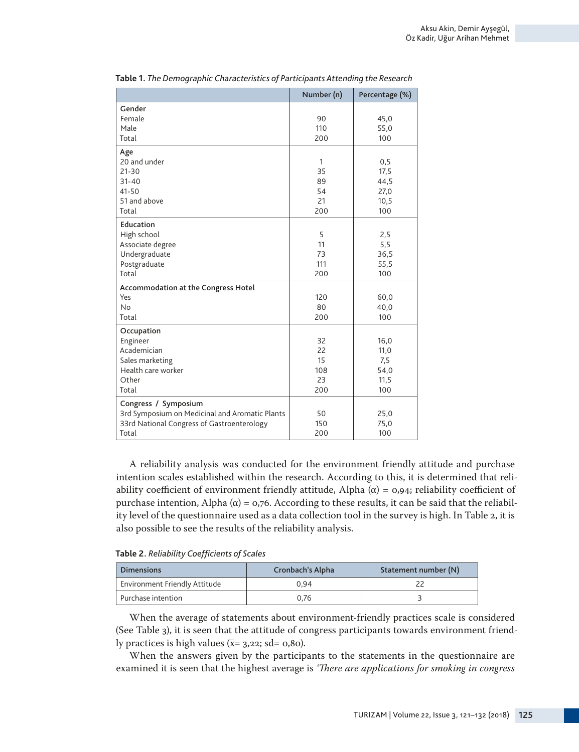|                                                                                                                               | Number (n)                         | Percentage (%)                             |
|-------------------------------------------------------------------------------------------------------------------------------|------------------------------------|--------------------------------------------|
| Gender<br>Female<br>Male<br>Total                                                                                             | 90<br>110<br>200                   | 45,0<br>55,0<br>100                        |
| Age<br>20 and under<br>$21 - 30$<br>$31 - 40$<br>41-50<br>51 and above<br>Total                                               | 1<br>35<br>89<br>54<br>21<br>200   | 0,5<br>17,5<br>44,5<br>27,0<br>10,5<br>100 |
| Education<br>High school<br>Associate degree<br>Undergraduate<br>Postgraduate<br>Total                                        | 5<br>11<br>73<br>111<br>200        | 2,5<br>5,5<br>36,5<br>55,5<br>100          |
| Accommodation at the Congress Hotel<br>Yes<br><b>No</b><br>Total                                                              | 120<br>80<br>200                   | 60,0<br>40,0<br>100                        |
| Occupation<br>Engineer<br>Academician<br>Sales marketing<br>Health care worker<br>Other<br>Total                              | 32<br>22<br>15<br>108<br>23<br>200 | 16,0<br>11,0<br>7,5<br>54,0<br>11,5<br>100 |
| Congress / Symposium<br>3rd Symposium on Medicinal and Aromatic Plants<br>33rd National Congress of Gastroenterology<br>Total | 50<br>150<br>200                   | 25,0<br>75,0<br>100                        |

**Table 1.** *The Demographic Characteristics of Participants Attending the Research*

A reliability analysis was conducted for the environment friendly attitude and purchase intention scales established within the research. According to this, it is determined that reliability coefficient of environment friendly attitude, Alpha ( $α$ ) = 0,94; reliability coefficient of purchase intention, Alpha (α) =  $\alpha$ ,  $\alpha$  = 0,  $\alpha$ . According to these results, it can be said that the reliability level of the questionnaire used as a data collection tool in the survey is high. In Table 2, it is also possible to see the results of the reliability analysis.

**Table 2.** *Reliability Coefficients of Scales*

| Dimensions                    | Cronbach's Alpha | Statement number (N) |
|-------------------------------|------------------|----------------------|
| Environment Friendly Attitude | 0.94             |                      |
| l Purchase intention          | 0.76             |                      |

When the average of statements about environment-friendly practices scale is considered (See Table 3), it is seen that the attitude of congress participants towards environment friendly practices is high values  $(\bar{x}= 3,22; s d= 0,80)$ .

When the answers given by the participants to the statements in the questionnaire are examined it is seen that the highest average is *'There are applications for smoking in congress*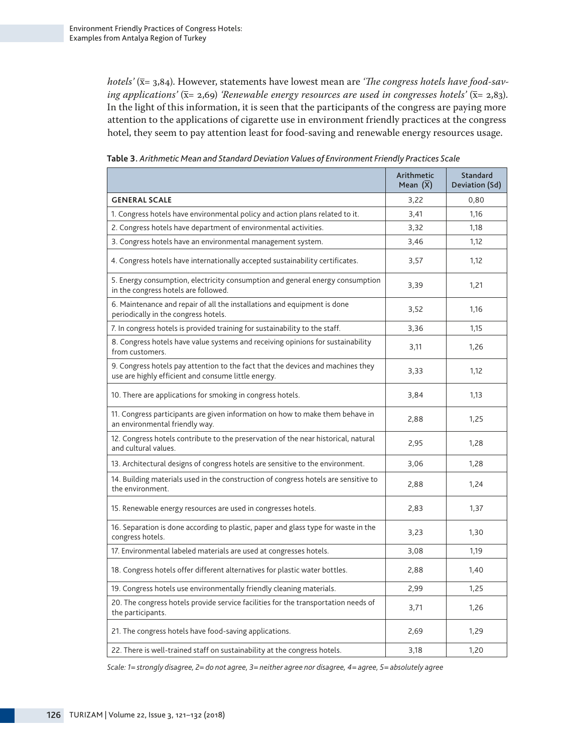*hotels'* (x= 3,84). However, statements have lowest mean are *'The congress hotels have food-saving applications'*  $(\bar{x}= 2.69)$  *'Renewable energy resources are used in congresses hotels'*  $(\bar{x}= 2.83)$ . In the light of this information, it is seen that the participants of the congress are paying more attention to the applications of cigarette use in environment friendly practices at the congress hotel, they seem to pay attention least for food-saving and renewable energy resources usage.

|                                                                                                                                        | Arithmetic<br>Mean $(X)$ | Standard<br>Deviation (Sd) |
|----------------------------------------------------------------------------------------------------------------------------------------|--------------------------|----------------------------|
| <b>GENERAL SCALE</b>                                                                                                                   | 3,22                     | 0,80                       |
| 1. Congress hotels have environmental policy and action plans related to it.                                                           | 3,41                     | 1,16                       |
| 2. Congress hotels have department of environmental activities.                                                                        | 3,32                     | 1,18                       |
| 3. Congress hotels have an environmental management system.                                                                            | 3,46                     | 1,12                       |
| 4. Congress hotels have internationally accepted sustainability certificates.                                                          | 3,57                     | 1,12                       |
| 5. Energy consumption, electricity consumption and general energy consumption<br>in the congress hotels are followed.                  | 3,39                     | 1,21                       |
| 6. Maintenance and repair of all the installations and equipment is done<br>periodically in the congress hotels.                       | 3,52                     | 1,16                       |
| 7. In congress hotels is provided training for sustainability to the staff.                                                            | 3,36                     | 1,15                       |
| 8. Congress hotels have value systems and receiving opinions for sustainability<br>from customers.                                     | 3,11                     | 1,26                       |
| 9. Congress hotels pay attention to the fact that the devices and machines they<br>use are highly efficient and consume little energy. | 3,33                     | 1,12                       |
| 10. There are applications for smoking in congress hotels.                                                                             | 3,84                     | 1,13                       |
| 11. Congress participants are given information on how to make them behave in<br>an environmental friendly way.                        | 2,88                     | 1,25                       |
| 12. Congress hotels contribute to the preservation of the near historical, natural<br>and cultural values.                             | 2,95                     | 1,28                       |
| 13. Architectural designs of congress hotels are sensitive to the environment.                                                         | 3,06                     | 1,28                       |
| 14. Building materials used in the construction of congress hotels are sensitive to<br>the environment.                                | 2,88                     | 1,24                       |
| 15. Renewable energy resources are used in congresses hotels.                                                                          | 2,83                     | 1,37                       |
| 16. Separation is done according to plastic, paper and glass type for waste in the<br>congress hotels.                                 | 3,23                     | 1,30                       |
| 17. Environmental labeled materials are used at congresses hotels.                                                                     | 3,08                     | 1,19                       |
| 18. Congress hotels offer different alternatives for plastic water bottles.                                                            | 2,88                     | 1,40                       |
| 19. Congress hotels use environmentally friendly cleaning materials.                                                                   | 2,99                     | 1,25                       |
| 20. The congress hotels provide service facilities for the transportation needs of<br>the participants.                                | 3,71                     | 1,26                       |
| 21. The congress hotels have food-saving applications.                                                                                 | 2,69                     | 1,29                       |
| 22. There is well-trained staff on sustainability at the congress hotels.                                                              | 3,18                     | 1.20                       |

**Table 3.** *Arithmetic Mean and Standard Deviation Values of Environment Friendly Practices Scale*

*Scale: 1= strongly disagree, 2= do not agree, 3= neither agree nor disagree, 4= agree, 5= absolutely agree*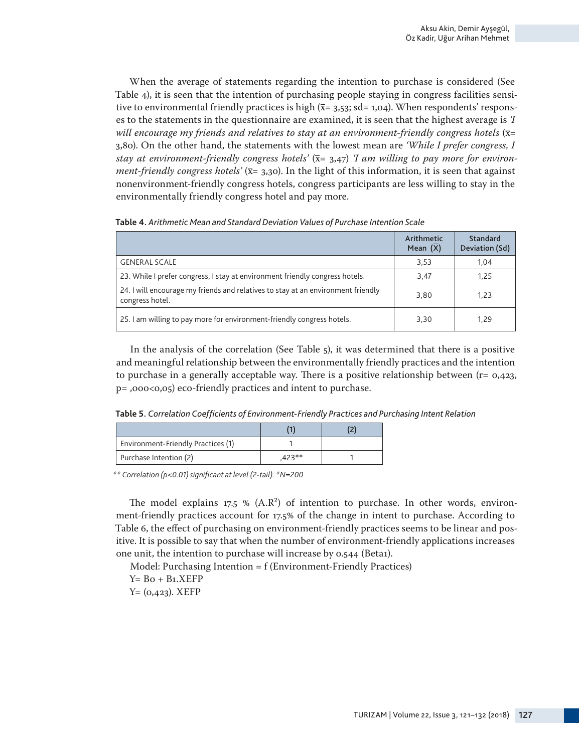When the average of statements regarding the intention to purchase is considered (See Table 4), it is seen that the intention of purchasing people staying in congress facilities sensitive to environmental friendly practices is high  $(\bar{x}= 3.53; sde= 1.04)$ . When respondents' responses to the statements in the questionnaire are examined, it is seen that the highest average is *'I will encourage my friends and relatives to stay at an environment-friendly congress hotels*  $(\bar{x}$ = 3,80). On the other hand, the statements with the lowest mean are *'While I prefer congress, I*  stay at environment-friendly congress hotels'  $(\bar{x} = 3.47)$  *I am willing to pay more for environment-friendly congress hotels'* ( $\bar{x}$ = 3,30). In the light of this information, it is seen that against nonenvironment-friendly congress hotels, congress participants are less willing to stay in the environmentally friendly congress hotel and pay more.

|                                                                                                     | Arithmetic<br>Mean $(X)$ | Standard<br>Deviation (Sd) |
|-----------------------------------------------------------------------------------------------------|--------------------------|----------------------------|
| <b>GENERAL SCALE</b>                                                                                | 3.53                     | 1.04                       |
| 23. While I prefer congress, I stay at environment friendly congress hotels.                        | 3.47                     | 1.25                       |
| 24. I will encourage my friends and relatives to stay at an environment friendly<br>congress hotel. | 3.80                     | 1,23                       |
| 25. I am willing to pay more for environment-friendly congress hotels.                              | 3,30                     | 1.29                       |

**Table 4.** *Arithmetic Mean and Standard Deviation Values of Purchase Intention Scale* 

In the analysis of the correlation (See Table 5), it was determined that there is a positive and meaningful relationship between the environmentally friendly practices and the intention to purchase in a generally acceptable way. There is a positive relationship between  $(r= 0.423, r= 0.423)$ p= ,000<0,05) eco-friendly practices and intent to purchase.

**Table 5.** *Correlation Coefficients of Environment-Friendly Practices and Purchasing Intent Relation* 

| Environment-Friendly Practices (1) |         |  |
|------------------------------------|---------|--|
| Purchase Intention (2)             | $+23**$ |  |

*\*\* Correlation (p<0.01) significant at level (2-tail). \*N=200*

The model explains  $17.5 \%$  (A.R<sup>2</sup>) of intention to purchase. In other words, environment-friendly practices account for 17.5% of the change in intent to purchase. According to Table 6, the effect of purchasing on environment-friendly practices seems to be linear and positive. It is possible to say that when the number of environment-friendly applications increases one unit, the intention to purchase will increase by 0.544 (Beta1).

Model: Purchasing Intention = f (Environment-Friendly Practices)

 $Y = Bo + B1.XEFP$ 

 $Y = (0, 423)$ . XEFP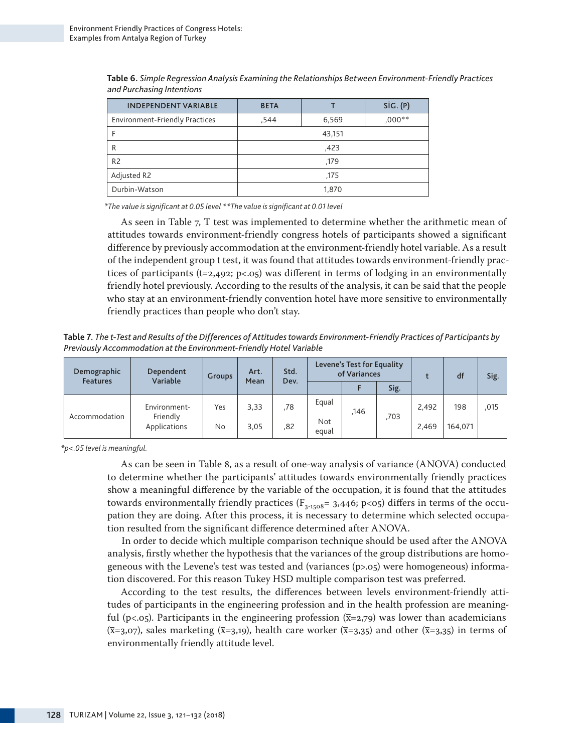| <b>INDEPENDENT VARIABLE</b>    | <b>BETA</b> |        | SiG. (P) |  |  |  |
|--------------------------------|-------------|--------|----------|--|--|--|
| Environment-Friendly Practices | .544        | 6,569  | $,000**$ |  |  |  |
|                                |             | 43,151 |          |  |  |  |
| R                              | ,423        |        |          |  |  |  |
| R <sub>2</sub>                 | ,179        |        |          |  |  |  |
| Adjusted R2                    |             | ,175   |          |  |  |  |
| Durbin-Watson                  |             | 1,870  |          |  |  |  |

**Table 6.** *Simple Regression Analysis Examining the Relationships Between Environment-Friendly Practices and Purchasing Intentions* 

*\*The value is significant at 0.05 level \*\*The value is significant at 0.01 level*

As seen in Table 7, T test was implemented to determine whether the arithmetic mean of attitudes towards environment-friendly congress hotels of participants showed a significant difference by previously accommodation at the environment-friendly hotel variable. As a result of the independent group t test, it was found that attitudes towards environment-friendly practices of participants ( $t=2,492$ ; p<.05) was different in terms of lodging in an environmentally friendly hotel previously. According to the results of the analysis, it can be said that the people who stay at an environment-friendly convention hotel have more sensitive to environmentally friendly practices than people who don't stay.

**Table 7.** *The t-Test and Results of the Differences of Attitudes towards Environment-Friendly Practices of Participants by Previously Accommodation at the Environment-Friendly Hotel Variable* 

| Demographic<br><b>Features</b> | Dependent<br>Variable    | <b>Groups</b> | Std.<br>Art. |     | Mean<br>Dev. |      |      | Levene's Test for Equality<br>of Variances |         |      | df | Sig. |
|--------------------------------|--------------------------|---------------|--------------|-----|--------------|------|------|--------------------------------------------|---------|------|----|------|
|                                |                          |               |              |     |              |      | Sig. |                                            |         |      |    |      |
| Accommodation                  | Environment-             | Yes           | 3,33         | ,78 | Equal        | .146 | .703 | 2.492                                      | 198     | ,015 |    |      |
|                                | Friendly<br>Applications | <b>No</b>     | 3,05         | ,82 | Not<br>egual |      |      | 2.469                                      | 164.071 |      |    |      |

*\*p<.05 level is meaningful.*

As can be seen in Table 8, as a result of one-way analysis of variance (ANOVA) conducted to determine whether the participants' attitudes towards environmentally friendly practices show a meaningful difference by the variable of the occupation, it is found that the attitudes towards environmentally friendly practices ( $F_{3-1508}$ = 3,446; p<05) differs in terms of the occupation they are doing. After this process, it is necessary to determine which selected occupation resulted from the significant difference determined after ANOVA.

In order to decide which multiple comparison technique should be used after the ANOVA analysis, firstly whether the hypothesis that the variances of the group distributions are homogeneous with the Levene's test was tested and (variances (p>.05) were homogeneous) information discovered. For this reason Tukey HSD multiple comparison test was preferred.

According to the test results, the differences between levels environment-friendly attitudes of participants in the engineering profession and in the health profession are meaningful (p<.05). Participants in the engineering profession  $(\bar{x}=2,79)$  was lower than academicians  $(\bar{x}=3.07)$ , sales marketing  $(\bar{x}=3.19)$ , health care worker  $(\bar{x}=3.35)$  and other  $(\bar{x}=3.35)$  in terms of environmentally friendly attitude level.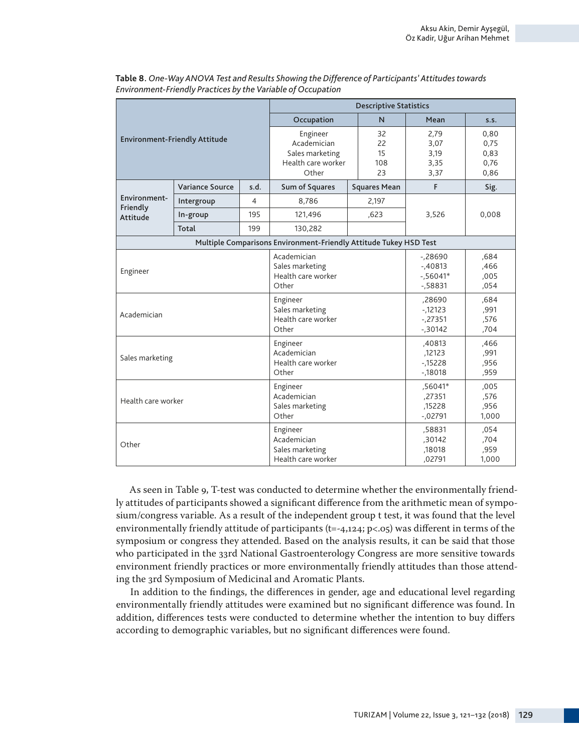|                                      |                        |                                                                                                          | <b>Descriptive Statistics</b>                                     |                                                  |                                      |       |  |  |  |
|--------------------------------------|------------------------|----------------------------------------------------------------------------------------------------------|-------------------------------------------------------------------|--------------------------------------------------|--------------------------------------|-------|--|--|--|
|                                      |                        |                                                                                                          | Occupation                                                        | N                                                | Mean                                 | S.S.  |  |  |  |
| <b>Environment-Friendly Attitude</b> |                        | Engineer<br>32<br>Academician<br>22<br>15<br>Sales marketing<br>Health care worker<br>108<br>Other<br>23 |                                                                   | 2,79<br>3,07<br>3,19<br>3,35<br>3,37             | 0.80<br>0.75<br>0,83<br>0,76<br>0,86 |       |  |  |  |
|                                      | <b>Variance Source</b> | s.d.                                                                                                     | Sum of Squares                                                    | <b>Squares Mean</b>                              | F                                    | Sig.  |  |  |  |
| Environment-                         | Intergroup             | 4                                                                                                        | 8,786                                                             | 2.197                                            |                                      |       |  |  |  |
| Friendly<br>Attitude                 | In-group               | 195                                                                                                      | 121,496                                                           | ,623                                             | 3,526                                | 0,008 |  |  |  |
|                                      | Total                  | 199                                                                                                      | 130,282                                                           |                                                  |                                      |       |  |  |  |
|                                      |                        |                                                                                                          | Multiple Comparisons Environment-Friendly Attitude Tukey HSD Test |                                                  |                                      |       |  |  |  |
| Engineer                             |                        | Academician<br>Sales marketing<br>Health care worker<br>Other                                            |                                                                   | $-28690$<br>$-40813$<br>$-0.56041*$<br>$-158831$ | ,684<br>,466<br>,005<br>,054         |       |  |  |  |
| Academician                          |                        | Engineer<br>Sales marketing<br>Health care worker<br>Other                                               |                                                                   | ,28690<br>$-12123$<br>$-.27351$<br>$-0.30142$    | ,684<br>,991<br>,576<br>,704         |       |  |  |  |
| Sales marketing                      |                        | Engineer<br>Academician<br>Health care worker<br>Other                                                   |                                                                   | ,40813<br>,12123<br>$-15228$<br>$-18018$         | ,466<br>,991<br>,956<br>,959         |       |  |  |  |
| Health care worker                   |                        | Engineer<br>Academician<br>Sales marketing<br>Other                                                      |                                                                   | ,56041*<br>,27351<br>,15228<br>$-0.02791$        | ,005<br>,576<br>,956<br>1,000        |       |  |  |  |
| Other                                |                        | Engineer<br>Academician<br>Sales marketing<br>Health care worker                                         |                                                                   | ,58831<br>,30142<br>,18018<br>,02791             | .054<br>,704<br>,959<br>1,000        |       |  |  |  |

**Table 8.** *One-Way ANOVA Test and Results Showing the Difference of Participants' Attitudes towards Environment-Friendly Practices by the Variable of Occupation* 

As seen in Table 9, T-test was conducted to determine whether the environmentally friendly attitudes of participants showed a significant difference from the arithmetic mean of symposium/congress variable. As a result of the independent group t test, it was found that the level environmentally friendly attitude of participants ( $t=-4,124$ ;  $p<.05$ ) was different in terms of the symposium or congress they attended. Based on the analysis results, it can be said that those who participated in the 33rd National Gastroenterology Congress are more sensitive towards environment friendly practices or more environmentally friendly attitudes than those attending the 3rd Symposium of Medicinal and Aromatic Plants.

In addition to the findings, the differences in gender, age and educational level regarding environmentally friendly attitudes were examined but no significant difference was found. In addition, differences tests were conducted to determine whether the intention to buy differs according to demographic variables, but no significant differences were found.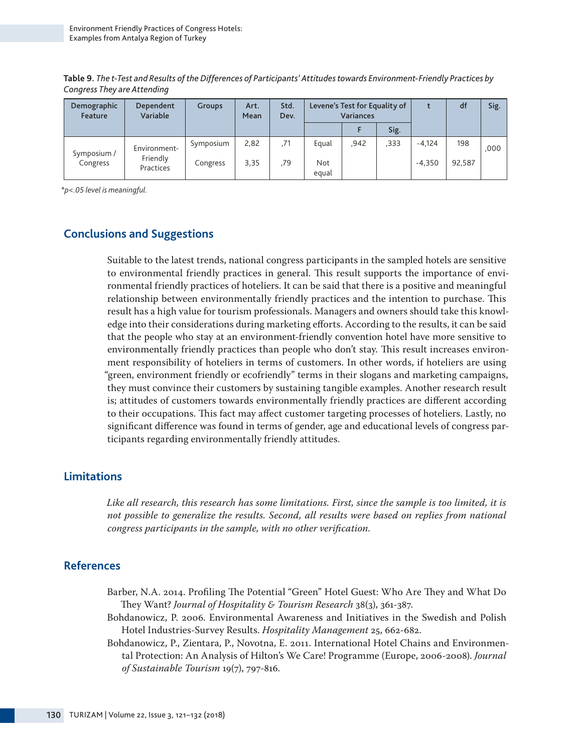**Table 9.** *The t-Test and Results of the Differences of Participants' Attitudes towards Environment-Friendly Practices by Congress They are Attending*

| Demographic<br>Feature | Dependent<br>Variable | <b>Groups</b> | Art.<br>Mean | Std.<br>Dev. | Levene's Test for Equality of<br><b>Variances</b> |      |      | df       | Sig.   |      |
|------------------------|-----------------------|---------------|--------------|--------------|---------------------------------------------------|------|------|----------|--------|------|
|                        |                       |               |              |              |                                                   |      | Sig. |          |        |      |
| Symposium /            | Environment-          | Symposium     | 2,82         | .71          | Equal                                             | ,942 | ,333 | $-4.124$ | 198    | .000 |
| Congress               | Friendly<br>Practices | Congress      | 3,35         | .79          | <b>Not</b><br>egual                               |      |      | $-4.350$ | 92,587 |      |

*\*p<.05 level is meaningful.* 

## **Conclusions and Suggestions**

Suitable to the latest trends, national congress participants in the sampled hotels are sensitive to environmental friendly practices in general. This result supports the importance of environmental friendly practices of hoteliers. It can be said that there is a positive and meaningful relationship between environmentally friendly practices and the intention to purchase. This result has a high value for tourism professionals. Managers and owners should take this knowledge into their considerations during marketing efforts. According to the results, it can be said that the people who stay at an environment-friendly convention hotel have more sensitive to environmentally friendly practices than people who don't stay. This result increases environment responsibility of hoteliers in terms of customers. In other words, if hoteliers are using "green, environment friendly or ecofriendly" terms in their slogans and marketing campaigns, they must convince their customers by sustaining tangible examples. Another research result is; attitudes of customers towards environmentally friendly practices are different according to their occupations. This fact may affect customer targeting processes of hoteliers. Lastly, no significant difference was found in terms of gender, age and educational levels of congress participants regarding environmentally friendly attitudes.

## **Limitations**

*Like all research, this research has some limitations. First, since the sample is too limited, it is not possible to generalize the results. Second, all results were based on replies from national congress participants in the sample, with no other verification.*

## **References**

- Barber, N.A. 2014. Profiling The Potential "Green" Hotel Guest: Who Are They and What Do They Want? *Journal of Hospitality & Tourism Research* 38(3), 361-387.
- Bohdanowicz, P. 2006. Environmental Awareness and Initiatives in the Swedish and Polish Hotel Industries-Survey Results. *Hospitality Management* 25, 662-682.
- Bohdanowicz, P., Zientara, P., Novotna, E. 2011. International Hotel Chains and Environmental Protection: An Analysis of Hilton's We Care! Programme (Europe, 2006-2008). *Journal of Sustainable Tourism* 19(7), 797-816.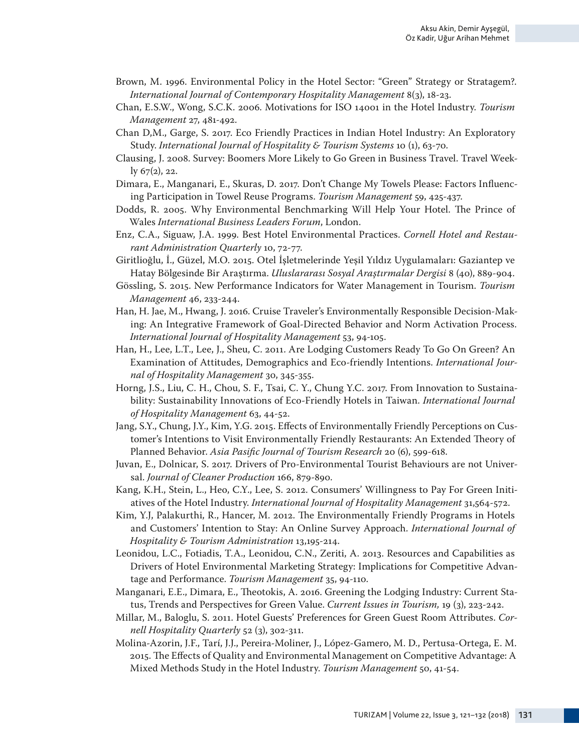- Brown, M. 1996. Environmental Policy in the Hotel Sector: "Green" Strategy or Stratagem?. *International Journal of Contemporary Hospitality Management* 8(3), 18-23.
- Chan, E.S.W., Wong, S.C.K. 2006. Motivations for ISO 14001 in the Hotel Industry. *Tourism Management* 27, 481-492.
- Chan D,M., Garge, S. 2017. Eco Friendly Practices in Indian Hotel Industry: An Exploratory Study. *International Journal of Hospitality & Tourism Systems* 10 (1), 63-70.
- Clausing, J. 2008. Survey: Boomers More Likely to Go Green in Business Travel. Travel Weekly 67(2), 22.
- Dimara, E., Manganari, E., Skuras, D. 2017. Don't Change My Towels Please: Factors Influencing Participation in Towel Reuse Programs. *Tourism Management* 59, 425-437.
- Dodds, R. 2005. Why Environmental Benchmarking Will Help Your Hotel. The Prince of Wales *International Business Leaders Forum*, London.
- Enz, C.A., Siguaw, J.A. 1999. Best Hotel Environmental Practices. *Cornell Hotel and Restaurant Administration Quarterly* 10, 72-77.
- Giritlioğlu, İ., Güzel, M.O. 2015. Otel İşletmelerinde Yeşil Yıldız Uygulamaları: Gaziantep ve Hatay Bölgesinde Bir Araştırma. *Uluslararası Sosyal Araştırmalar Dergisi* 8 (40), 889-904.
- Gössling, S. 2015. New Performance Indicators for Water Management in Tourism. *Tourism Management* 46, 233-244.
- Han, H. Jae, M., Hwang, J. 2016. Cruise Traveler's Environmentally Responsible Decision-Making: An Integrative Framework of Goal-Directed Behavior and Norm Activation Process. *International Journal of Hospitality Management* 53, 94-105.
- Han, H., Lee, L.T., Lee, J., Sheu, C. 2011. Are Lodging Customers Ready To Go On Green? An Examination of Attitudes, Demographics and Eco-friendly Intentions. *International Journal of Hospitality Management* 30, 345-355.
- Horng, J.S., Liu, C. H., Chou, S. F., Tsai, C. Y., Chung Y.C. 2017. From Innovation to Sustainability: Sustainability Innovations of Eco-Friendly Hotels in Taiwan. *International Journal of Hospitality Management* 63, 44-52.
- Jang, S.Y., Chung, J.Y., Kim, Y.G. 2015. Effects of Environmentally Friendly Perceptions on Customer's Intentions to Visit Environmentally Friendly Restaurants: An Extended Theory of Planned Behavior. *Asia Pasific Journal of Tourism Research* 20 (6), 599-618.
- Juvan, E., Dolnicar, S. 2017. Drivers of Pro-Environmental Tourist Behaviours are not Universal. *Journal of Cleaner Production* 166, 879-890.
- Kang, K.H., Stein, L., Heo, C.Y., Lee, S. 2012. Consumers' Willingness to Pay For Green Initiatives of the Hotel Industry. *International Journal of Hospitality Management* 31,564-572.
- Kim, Y.J, Palakurthi, R., Hancer, M. 2012. The Environmentally Friendly Programs in Hotels and Customers' Intention to Stay: An Online Survey Approach. *International Journal of Hospitality & Tourism Administration* 13,195-214.
- Leonidou, L.C., Fotiadis, T.A., Leonidou, C.N., Zeriti, A. 2013. Resources and Capabilities as Drivers of Hotel Environmental Marketing Strategy: Implications for Competitive Advantage and Performance. *Tourism Management* 35, 94-110.
- Manganari, E.E., Dimara, E., Theotokis, A. 2016. Greening the Lodging Industry: Current Status, Trends and Perspectives for Green Value. *Current Issues in Tourism,* 19 (3), 223-242.
- Millar, M., Baloglu, S. 2011. Hotel Guests' Preferences for Green Guest Room Attributes. *Cornell Hospitality Quarterly* 52 (3), 302-311.
- Molina-Azorin, J.F., Tarí, J.J., Pereira-Moliner, J., López-Gamero, M. D., Pertusa-Ortega, E. M. 2015. The Effects of Quality and Environmental Management on Competitive Advantage: A Mixed Methods Study in the Hotel Industry. *Tourism Management* 50, 41-54.